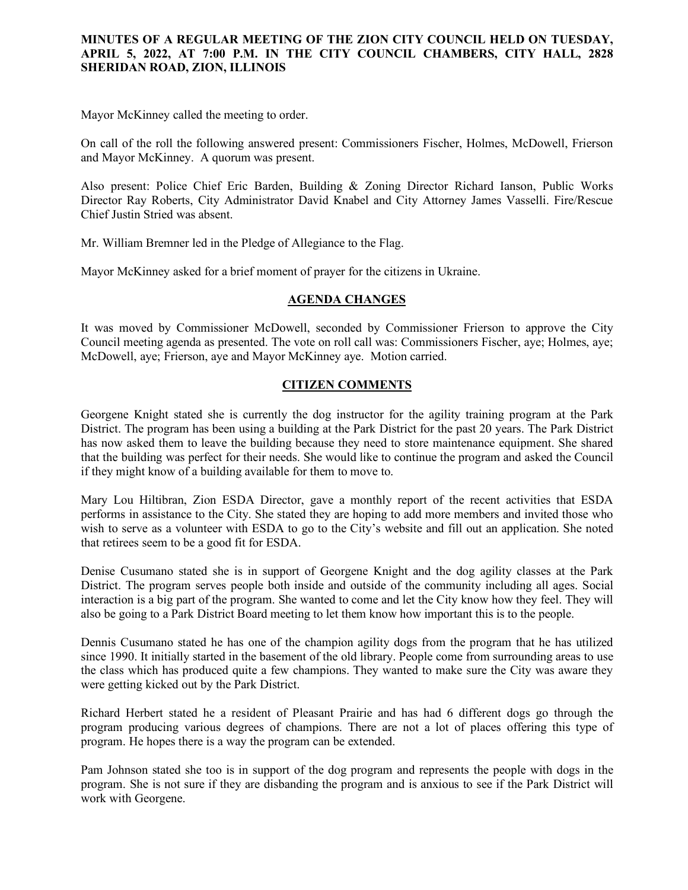## **MINUTES OF A REGULAR MEETING OF THE ZION CITY COUNCIL HELD ON TUESDAY, APRIL 5, 2022, AT 7:00 P.M. IN THE CITY COUNCIL CHAMBERS, CITY HALL, 2828 SHERIDAN ROAD, ZION, ILLINOIS**

Mayor McKinney called the meeting to order.

On call of the roll the following answered present: Commissioners Fischer, Holmes, McDowell, Frierson and Mayor McKinney. A quorum was present.

Also present: Police Chief Eric Barden, Building & Zoning Director Richard Ianson, Public Works Director Ray Roberts, City Administrator David Knabel and City Attorney James Vasselli. Fire/Rescue Chief Justin Stried was absent.

Mr. William Bremner led in the Pledge of Allegiance to the Flag.

Mayor McKinney asked for a brief moment of prayer for the citizens in Ukraine.

### **AGENDA CHANGES**

It was moved by Commissioner McDowell, seconded by Commissioner Frierson to approve the City Council meeting agenda as presented. The vote on roll call was: Commissioners Fischer, aye; Holmes, aye; McDowell, aye; Frierson, aye and Mayor McKinney aye. Motion carried.

# **CITIZEN COMMENTS**

Georgene Knight stated she is currently the dog instructor for the agility training program at the Park District. The program has been using a building at the Park District for the past 20 years. The Park District has now asked them to leave the building because they need to store maintenance equipment. She shared that the building was perfect for their needs. She would like to continue the program and asked the Council if they might know of a building available for them to move to.

Mary Lou Hiltibran, Zion ESDA Director, gave a monthly report of the recent activities that ESDA performs in assistance to the City. She stated they are hoping to add more members and invited those who wish to serve as a volunteer with ESDA to go to the City's website and fill out an application. She noted that retirees seem to be a good fit for ESDA.

Denise Cusumano stated she is in support of Georgene Knight and the dog agility classes at the Park District. The program serves people both inside and outside of the community including all ages. Social interaction is a big part of the program. She wanted to come and let the City know how they feel. They will also be going to a Park District Board meeting to let them know how important this is to the people.

Dennis Cusumano stated he has one of the champion agility dogs from the program that he has utilized since 1990. It initially started in the basement of the old library. People come from surrounding areas to use the class which has produced quite a few champions. They wanted to make sure the City was aware they were getting kicked out by the Park District.

Richard Herbert stated he a resident of Pleasant Prairie and has had 6 different dogs go through the program producing various degrees of champions. There are not a lot of places offering this type of program. He hopes there is a way the program can be extended.

Pam Johnson stated she too is in support of the dog program and represents the people with dogs in the program. She is not sure if they are disbanding the program and is anxious to see if the Park District will work with Georgene.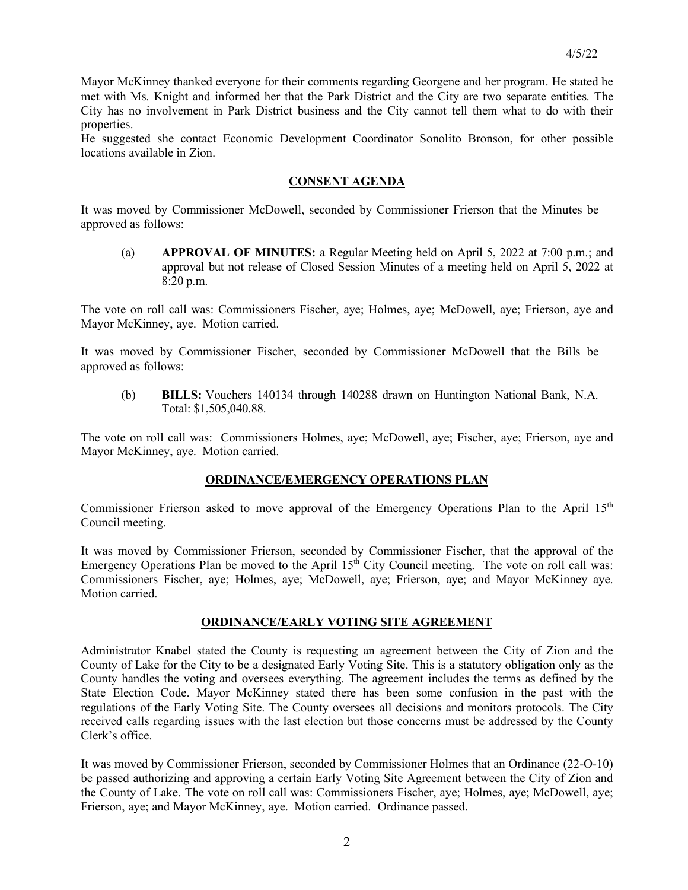Mayor McKinney thanked everyone for their comments regarding Georgene and her program. He stated he met with Ms. Knight and informed her that the Park District and the City are two separate entities. The City has no involvement in Park District business and the City cannot tell them what to do with their properties.

He suggested she contact Economic Development Coordinator Sonolito Bronson, for other possible locations available in Zion.

### **CONSENT AGENDA**

It was moved by Commissioner McDowell, seconded by Commissioner Frierson that the Minutes be approved as follows:

(a) **APPROVAL OF MINUTES:** a Regular Meeting held on April 5, 2022 at 7:00 p.m.; and approval but not release of Closed Session Minutes of a meeting held on April 5, 2022 at 8:20 p.m.

The vote on roll call was: Commissioners Fischer, aye; Holmes, aye; McDowell, aye; Frierson, aye and Mayor McKinney, aye. Motion carried.

It was moved by Commissioner Fischer, seconded by Commissioner McDowell that the Bills be approved as follows:

(b) **BILLS:** Vouchers 140134 through 140288 drawn on Huntington National Bank, N.A. Total: \$1,505,040.88.

The vote on roll call was: Commissioners Holmes, aye; McDowell, aye; Fischer, aye; Frierson, aye and Mayor McKinney, aye. Motion carried.

#### **ORDINANCE/EMERGENCY OPERATIONS PLAN**

Commissioner Frierson asked to move approval of the Emergency Operations Plan to the April 15<sup>th</sup> Council meeting.

It was moved by Commissioner Frierson, seconded by Commissioner Fischer, that the approval of the Emergency Operations Plan be moved to the April  $15<sup>th</sup>$  City Council meeting. The vote on roll call was: Commissioners Fischer, aye; Holmes, aye; McDowell, aye; Frierson, aye; and Mayor McKinney aye. Motion carried.

#### **ORDINANCE/EARLY VOTING SITE AGREEMENT**

Administrator Knabel stated the County is requesting an agreement between the City of Zion and the County of Lake for the City to be a designated Early Voting Site. This is a statutory obligation only as the County handles the voting and oversees everything. The agreement includes the terms as defined by the State Election Code. Mayor McKinney stated there has been some confusion in the past with the regulations of the Early Voting Site. The County oversees all decisions and monitors protocols. The City received calls regarding issues with the last election but those concerns must be addressed by the County Clerk's office.

It was moved by Commissioner Frierson, seconded by Commissioner Holmes that an Ordinance (22-O-10) be passed authorizing and approving a certain Early Voting Site Agreement between the City of Zion and the County of Lake. The vote on roll call was: Commissioners Fischer, aye; Holmes, aye; McDowell, aye; Frierson, aye; and Mayor McKinney, aye. Motion carried. Ordinance passed.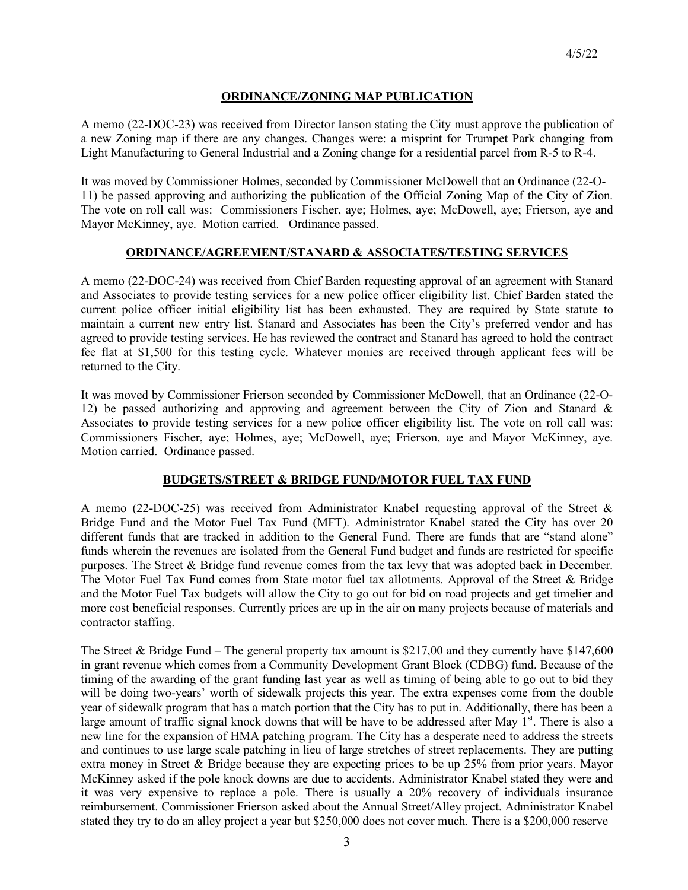# **ORDINANCE/ZONING MAP PUBLICATION**

A memo (22-DOC-23) was received from Director Ianson stating the City must approve the publication of a new Zoning map if there are any changes. Changes were: a misprint for Trumpet Park changing from Light Manufacturing to General Industrial and a Zoning change for a residential parcel from R-5 to R-4.

It was moved by Commissioner Holmes, seconded by Commissioner McDowell that an Ordinance (22-O-11) be passed approving and authorizing the publication of the Official Zoning Map of the City of Zion. The vote on roll call was: Commissioners Fischer, aye; Holmes, aye; McDowell, aye; Frierson, aye and Mayor McKinney, aye. Motion carried. Ordinance passed.

# **ORDINANCE/AGREEMENT/STANARD & ASSOCIATES/TESTING SERVICES**

A memo (22-DOC-24) was received from Chief Barden requesting approval of an agreement with Stanard and Associates to provide testing services for a new police officer eligibility list. Chief Barden stated the current police officer initial eligibility list has been exhausted. They are required by State statute to maintain a current new entry list. Stanard and Associates has been the City's preferred vendor and has agreed to provide testing services. He has reviewed the contract and Stanard has agreed to hold the contract fee flat at \$1,500 for this testing cycle. Whatever monies are received through applicant fees will be returned to the City.

It was moved by Commissioner Frierson seconded by Commissioner McDowell, that an Ordinance (22-O-12) be passed authorizing and approving and agreement between the City of Zion and Stanard & Associates to provide testing services for a new police officer eligibility list. The vote on roll call was: Commissioners Fischer, aye; Holmes, aye; McDowell, aye; Frierson, aye and Mayor McKinney, aye. Motion carried. Ordinance passed.

### **BUDGETS/STREET & BRIDGE FUND/MOTOR FUEL TAX FUND**

A memo (22-DOC-25) was received from Administrator Knabel requesting approval of the Street & Bridge Fund and the Motor Fuel Tax Fund (MFT). Administrator Knabel stated the City has over 20 different funds that are tracked in addition to the General Fund. There are funds that are "stand alone" funds wherein the revenues are isolated from the General Fund budget and funds are restricted for specific purposes. The Street & Bridge fund revenue comes from the tax levy that was adopted back in December. The Motor Fuel Tax Fund comes from State motor fuel tax allotments. Approval of the Street & Bridge and the Motor Fuel Tax budgets will allow the City to go out for bid on road projects and get timelier and more cost beneficial responses. Currently prices are up in the air on many projects because of materials and contractor staffing.

The Street & Bridge Fund – The general property tax amount is \$217,00 and they currently have \$147,600 in grant revenue which comes from a Community Development Grant Block (CDBG) fund. Because of the timing of the awarding of the grant funding last year as well as timing of being able to go out to bid they will be doing two-years' worth of sidewalk projects this year. The extra expenses come from the double year of sidewalk program that has a match portion that the City has to put in. Additionally, there has been a large amount of traffic signal knock downs that will be have to be addressed after May  $1<sup>st</sup>$ . There is also a new line for the expansion of HMA patching program. The City has a desperate need to address the streets and continues to use large scale patching in lieu of large stretches of street replacements. They are putting extra money in Street & Bridge because they are expecting prices to be up 25% from prior years. Mayor McKinney asked if the pole knock downs are due to accidents. Administrator Knabel stated they were and it was very expensive to replace a pole. There is usually a 20% recovery of individuals insurance reimbursement. Commissioner Frierson asked about the Annual Street/Alley project. Administrator Knabel stated they try to do an alley project a year but \$250,000 does not cover much. There is a \$200,000 reserve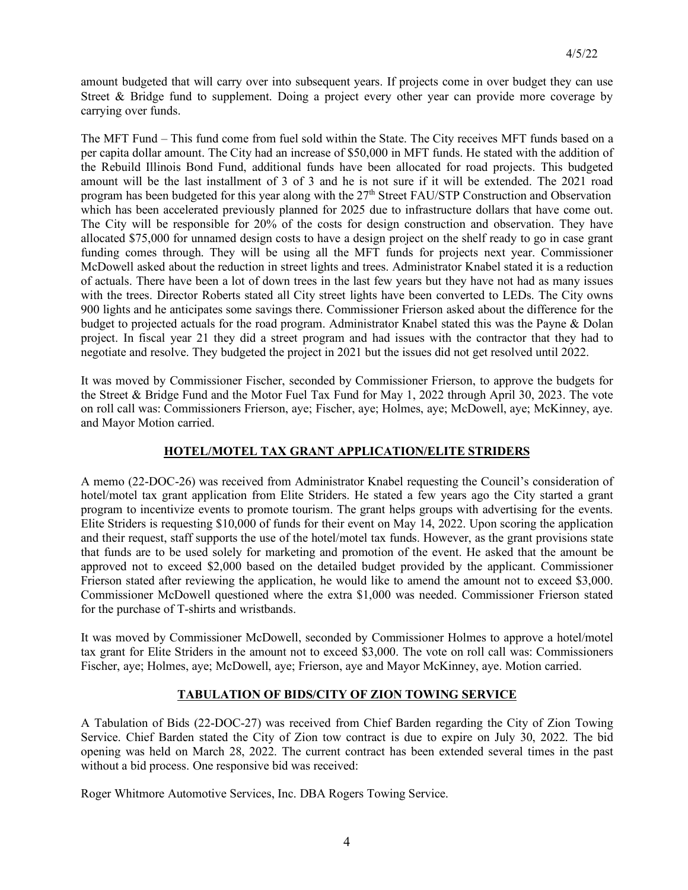amount budgeted that will carry over into subsequent years. If projects come in over budget they can use Street & Bridge fund to supplement. Doing a project every other year can provide more coverage by carrying over funds.

The MFT Fund – This fund come from fuel sold within the State. The City receives MFT funds based on a per capita dollar amount. The City had an increase of \$50,000 in MFT funds. He stated with the addition of the Rebuild Illinois Bond Fund, additional funds have been allocated for road projects. This budgeted amount will be the last installment of 3 of 3 and he is not sure if it will be extended. The 2021 road program has been budgeted for this year along with the 27<sup>th</sup> Street FAU/STP Construction and Observation which has been accelerated previously planned for 2025 due to infrastructure dollars that have come out. The City will be responsible for 20% of the costs for design construction and observation. They have allocated \$75,000 for unnamed design costs to have a design project on the shelf ready to go in case grant funding comes through. They will be using all the MFT funds for projects next year. Commissioner McDowell asked about the reduction in street lights and trees. Administrator Knabel stated it is a reduction of actuals. There have been a lot of down trees in the last few years but they have not had as many issues with the trees. Director Roberts stated all City street lights have been converted to LEDs. The City owns 900 lights and he anticipates some savings there. Commissioner Frierson asked about the difference for the budget to projected actuals for the road program. Administrator Knabel stated this was the Payne & Dolan project. In fiscal year 21 they did a street program and had issues with the contractor that they had to negotiate and resolve. They budgeted the project in 2021 but the issues did not get resolved until 2022.

It was moved by Commissioner Fischer, seconded by Commissioner Frierson, to approve the budgets for the Street & Bridge Fund and the Motor Fuel Tax Fund for May 1, 2022 through April 30, 2023. The vote on roll call was: Commissioners Frierson, aye; Fischer, aye; Holmes, aye; McDowell, aye; McKinney, aye. and Mayor Motion carried.

## **HOTEL/MOTEL TAX GRANT APPLICATION/ELITE STRIDERS**

A memo (22-DOC-26) was received from Administrator Knabel requesting the Council's consideration of hotel/motel tax grant application from Elite Striders. He stated a few years ago the City started a grant program to incentivize events to promote tourism. The grant helps groups with advertising for the events. Elite Striders is requesting \$10,000 of funds for their event on May 14, 2022. Upon scoring the application and their request, staff supports the use of the hotel/motel tax funds. However, as the grant provisions state that funds are to be used solely for marketing and promotion of the event. He asked that the amount be approved not to exceed \$2,000 based on the detailed budget provided by the applicant. Commissioner Frierson stated after reviewing the application, he would like to amend the amount not to exceed \$3,000. Commissioner McDowell questioned where the extra \$1,000 was needed. Commissioner Frierson stated for the purchase of T-shirts and wristbands.

It was moved by Commissioner McDowell, seconded by Commissioner Holmes to approve a hotel/motel tax grant for Elite Striders in the amount not to exceed \$3,000. The vote on roll call was: Commissioners Fischer, aye; Holmes, aye; McDowell, aye; Frierson, aye and Mayor McKinney, aye. Motion carried.

# **TABULATION OF BIDS/CITY OF ZION TOWING SERVICE**

A Tabulation of Bids (22-DOC-27) was received from Chief Barden regarding the City of Zion Towing Service. Chief Barden stated the City of Zion tow contract is due to expire on July 30, 2022. The bid opening was held on March 28, 2022. The current contract has been extended several times in the past without a bid process. One responsive bid was received:

Roger Whitmore Automotive Services, Inc. DBA Rogers Towing Service.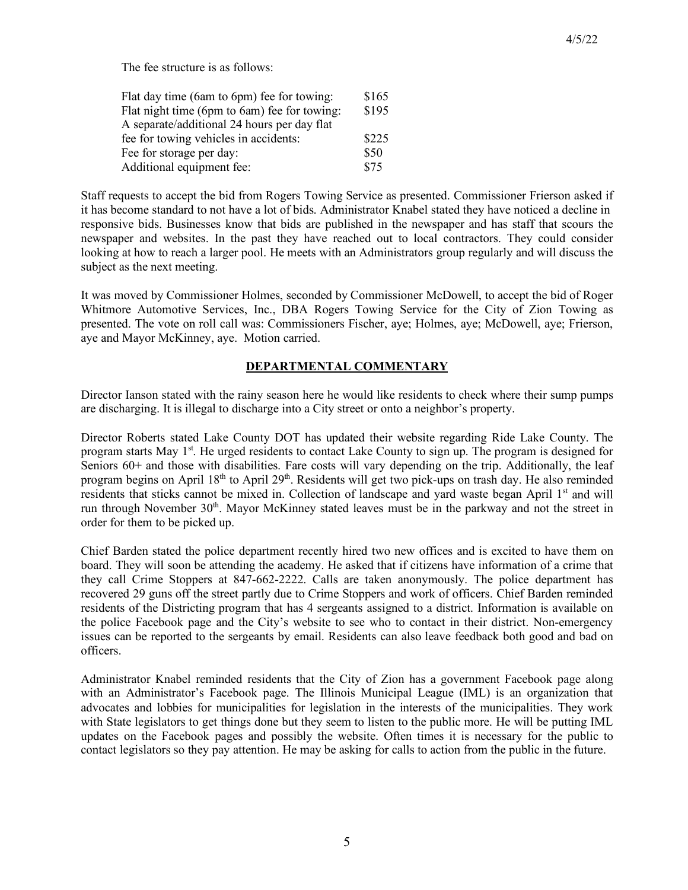| Flat day time (6am to 6pm) fee for towing:   | \$165 |
|----------------------------------------------|-------|
| Flat night time (6pm to 6am) fee for towing: | \$195 |
| A separate/additional 24 hours per day flat  |       |
| fee for towing vehicles in accidents:        | \$225 |
| Fee for storage per day:                     |       |
| Additional equipment fee:                    | \$75  |

Staff requests to accept the bid from Rogers Towing Service as presented. Commissioner Frierson asked if it has become standard to not have a lot of bids. Administrator Knabel stated they have noticed a decline in responsive bids. Businesses know that bids are published in the newspaper and has staff that scours the newspaper and websites. In the past they have reached out to local contractors. They could consider looking at how to reach a larger pool. He meets with an Administrators group regularly and will discuss the subject as the next meeting.

It was moved by Commissioner Holmes, seconded by Commissioner McDowell, to accept the bid of Roger Whitmore Automotive Services, Inc., DBA Rogers Towing Service for the City of Zion Towing as presented. The vote on roll call was: Commissioners Fischer, aye; Holmes, aye; McDowell, aye; Frierson, aye and Mayor McKinney, aye. Motion carried.

# **DEPARTMENTAL COMMENTARY**

Director Ianson stated with the rainy season here he would like residents to check where their sump pumps are discharging. It is illegal to discharge into a City street or onto a neighbor's property.

Director Roberts stated Lake County DOT has updated their website regarding Ride Lake County. The program starts May 1<sup>st</sup>. He urged residents to contact Lake County to sign up. The program is designed for Seniors 60+ and those with disabilities. Fare costs will vary depending on the trip. Additionally, the leaf program begins on April 18<sup>th</sup> to April 29<sup>th</sup>. Residents will get two pick-ups on trash day. He also reminded residents that sticks cannot be mixed in. Collection of landscape and yard waste began April 1<sup>st</sup> and will run through November  $30<sup>th</sup>$ . Mayor McKinney stated leaves must be in the parkway and not the street in order for them to be picked up.

Chief Barden stated the police department recently hired two new offices and is excited to have them on board. They will soon be attending the academy. He asked that if citizens have information of a crime that they call Crime Stoppers at 847-662-2222. Calls are taken anonymously. The police department has recovered 29 guns off the street partly due to Crime Stoppers and work of officers. Chief Barden reminded residents of the Districting program that has 4 sergeants assigned to a district. Information is available on the police Facebook page and the City's website to see who to contact in their district. Non-emergency issues can be reported to the sergeants by email. Residents can also leave feedback both good and bad on officers.

Administrator Knabel reminded residents that the City of Zion has a government Facebook page along with an Administrator's Facebook page. The Illinois Municipal League (IML) is an organization that advocates and lobbies for municipalities for legislation in the interests of the municipalities. They work with State legislators to get things done but they seem to listen to the public more. He will be putting IML updates on the Facebook pages and possibly the website. Often times it is necessary for the public to contact legislators so they pay attention. He may be asking for calls to action from the public in the future.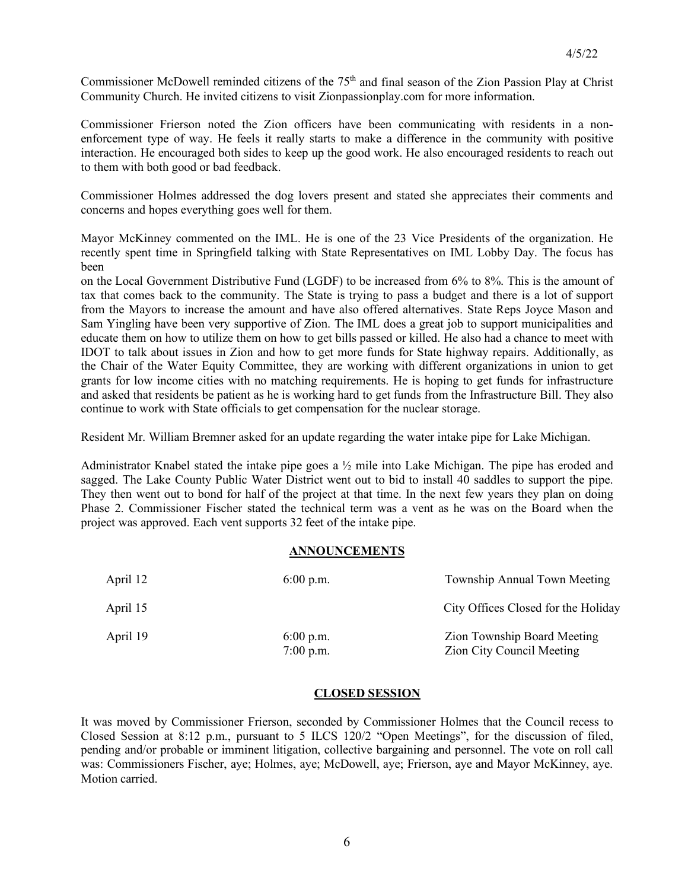Commissioner McDowell reminded citizens of the 75<sup>th</sup> and final season of the Zion Passion Play at Christ Community Church. He invited citizens to visit Zionpassionplay.com for more information.

Commissioner Frierson noted the Zion officers have been communicating with residents in a nonenforcement type of way. He feels it really starts to make a difference in the community with positive interaction. He encouraged both sides to keep up the good work. He also encouraged residents to reach out to them with both good or bad feedback.

Commissioner Holmes addressed the dog lovers present and stated she appreciates their comments and concerns and hopes everything goes well for them.

Mayor McKinney commented on the IML. He is one of the 23 Vice Presidents of the organization. He recently spent time in Springfield talking with State Representatives on IML Lobby Day. The focus has been

on the Local Government Distributive Fund (LGDF) to be increased from 6% to 8%. This is the amount of tax that comes back to the community. The State is trying to pass a budget and there is a lot of support from the Mayors to increase the amount and have also offered alternatives. State Reps Joyce Mason and Sam Yingling have been very supportive of Zion. The IML does a great job to support municipalities and educate them on how to utilize them on how to get bills passed or killed. He also had a chance to meet with IDOT to talk about issues in Zion and how to get more funds for State highway repairs. Additionally, as the Chair of the Water Equity Committee, they are working with different organizations in union to get grants for low income cities with no matching requirements. He is hoping to get funds for infrastructure and asked that residents be patient as he is working hard to get funds from the Infrastructure Bill. They also continue to work with State officials to get compensation for the nuclear storage.

Resident Mr. William Bremner asked for an update regarding the water intake pipe for Lake Michigan.

Administrator Knabel stated the intake pipe goes a  $\frac{1}{2}$  mile into Lake Michigan. The pipe has eroded and sagged. The Lake County Public Water District went out to bid to install 40 saddles to support the pipe. They then went out to bond for half of the project at that time. In the next few years they plan on doing Phase 2. Commissioner Fischer stated the technical term was a vent as he was on the Board when the project was approved. Each vent supports 32 feet of the intake pipe.

#### **ANNOUNCEMENTS**

| April 12 | $6:00$ p.m.                | Township Annual Town Meeting                                    |
|----------|----------------------------|-----------------------------------------------------------------|
| April 15 |                            | City Offices Closed for the Holiday                             |
| April 19 | $6:00$ p.m.<br>$7:00$ p.m. | Zion Township Board Meeting<br><b>Zion City Council Meeting</b> |

#### **CLOSED SESSION**

It was moved by Commissioner Frierson, seconded by Commissioner Holmes that the Council recess to Closed Session at 8:12 p.m., pursuant to 5 ILCS 120/2 "Open Meetings", for the discussion of filed, pending and/or probable or imminent litigation, collective bargaining and personnel. The vote on roll call was: Commissioners Fischer, aye; Holmes, aye; McDowell, aye; Frierson, aye and Mayor McKinney, aye. Motion carried.